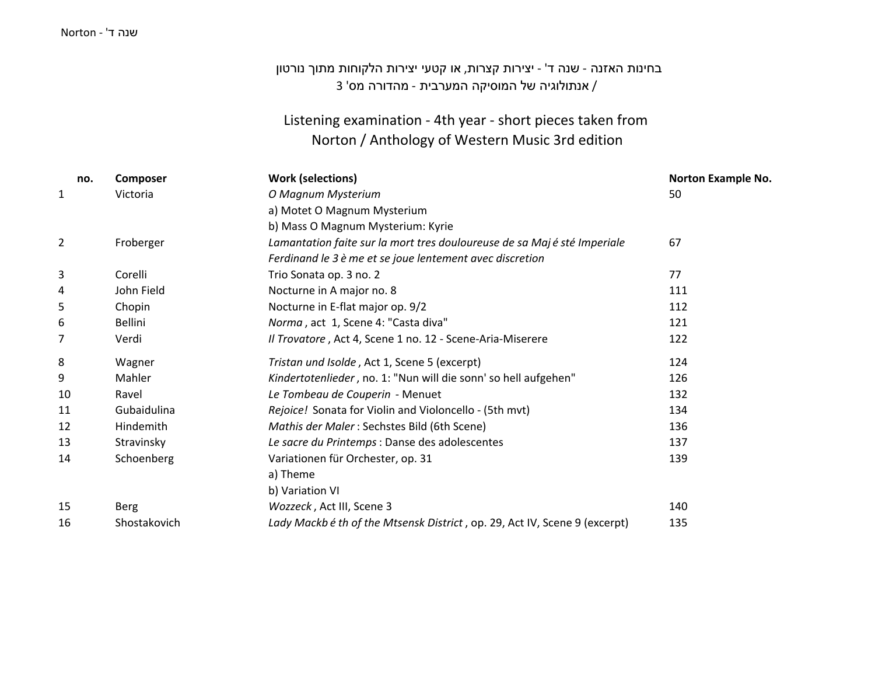#### שנה <sup>ד</sup>' - Norton

## בחינות האזנה - שנה <sup>ד</sup>' - יצירות קצרות, או קטעי יצירות הלקוחות מתוך נורטון / אנתולוגיה של המוסיקה המערבית - מהדורה מס' 3

### Listening examination - 4th year - short pieces taken from Norton / Anthology of Western Music 3rd edition

| no.            | Composer       | <b>Work (selections)</b>                                                   | <b>Norton Example No.</b> |
|----------------|----------------|----------------------------------------------------------------------------|---------------------------|
| 1              | Victoria       | O Magnum Mysterium                                                         | 50                        |
|                |                | a) Motet O Magnum Mysterium                                                |                           |
|                |                | b) Mass O Magnum Mysterium: Kyrie                                          |                           |
| $\overline{2}$ | Froberger      | Lamantation faite sur la mort tres douloureuse de sa Majé sté Imperiale    | 67                        |
|                |                | Ferdinand le 3 è me et se joue lentement avec discretion                   |                           |
| 3              | Corelli        | Trio Sonata op. 3 no. 2                                                    | 77                        |
| 4              | John Field     | Nocturne in A major no. 8                                                  | 111                       |
| 5              | Chopin         | Nocturne in E-flat major op. 9/2                                           | 112                       |
| 6              | <b>Bellini</b> | Norma, act 1, Scene 4: "Casta diva"                                        | 121                       |
| 7              | Verdi          | Il Trovatore, Act 4, Scene 1 no. 12 - Scene-Aria-Miserere                  | 122                       |
| 8              | Wagner         | Tristan und Isolde, Act 1, Scene 5 (excerpt)                               | 124                       |
| 9              | Mahler         | Kindertotenlieder, no. 1: "Nun will die sonn' so hell aufgehen"            | 126                       |
| 10             | Ravel          | Le Tombeau de Couperin - Menuet                                            | 132                       |
| 11             | Gubaidulina    | Rejoice! Sonata for Violin and Violoncello - (5th mvt)                     | 134                       |
| 12             | Hindemith      | Mathis der Maler: Sechstes Bild (6th Scene)                                | 136                       |
| 13             | Stravinsky     | Le sacre du Printemps : Danse des adolescentes                             | 137                       |
| 14             | Schoenberg     | Variationen für Orchester, op. 31                                          | 139                       |
|                |                | a) Theme                                                                   |                           |
|                |                | b) Variation VI                                                            |                           |
| 15             | Berg           | Wozzeck, Act III, Scene 3                                                  | 140                       |
| 16             | Shostakovich   | Lady Mackb é th of the Mtsensk District, op. 29, Act IV, Scene 9 (excerpt) | 135                       |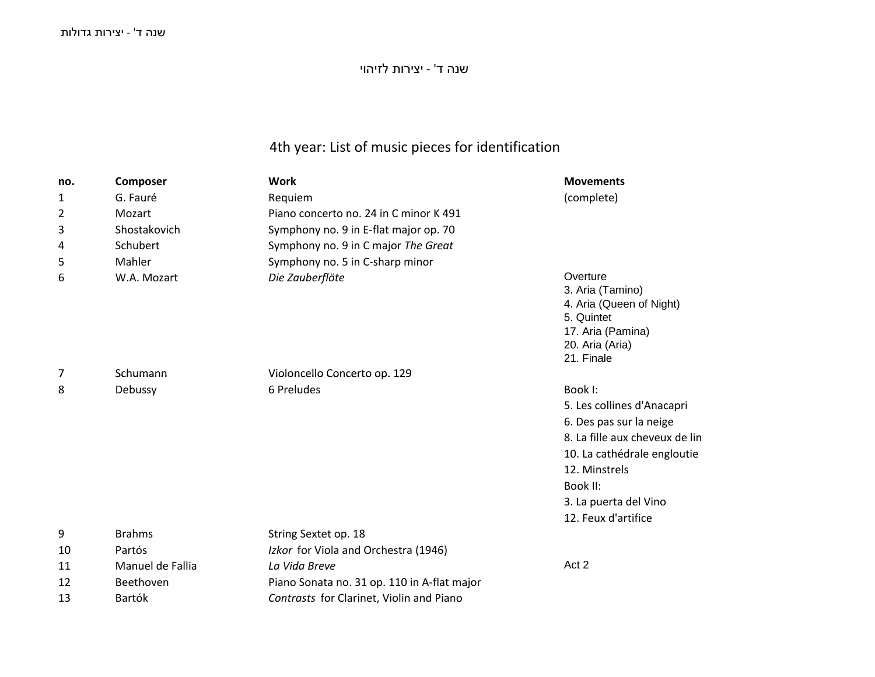שנה <sup>ד</sup>' - יצירות לזיהוי

# 4th year: List of music pieces for identification

| no. | Composer         | <b>Work</b>                                 | <b>Movements</b>                                                                                                             |
|-----|------------------|---------------------------------------------|------------------------------------------------------------------------------------------------------------------------------|
| 1   | G. Fauré         | Requiem                                     | (complete)                                                                                                                   |
| 2   | Mozart           | Piano concerto no. 24 in C minor K 491      |                                                                                                                              |
| 3   | Shostakovich     | Symphony no. 9 in E-flat major op. 70       |                                                                                                                              |
| 4   | Schubert         | Symphony no. 9 in C major The Great         |                                                                                                                              |
| 5   | Mahler           | Symphony no. 5 in C-sharp minor             |                                                                                                                              |
| 6   | W.A. Mozart      | Die Zauberflöte                             | Overture<br>3. Aria (Tamino)<br>4. Aria (Queen of Night)<br>5. Quintet<br>17. Aria (Pamina)<br>20. Aria (Aria)<br>21. Finale |
| 7   | Schumann         | Violoncello Concerto op. 129                |                                                                                                                              |
| 8   | Debussy          | 6 Preludes                                  | Book I:                                                                                                                      |
|     |                  |                                             | 5. Les collines d'Anacapri                                                                                                   |
|     |                  |                                             | 6. Des pas sur la neige                                                                                                      |
|     |                  |                                             | 8. La fille aux cheveux de lin                                                                                               |
|     |                  |                                             | 10. La cathédrale engloutie                                                                                                  |
|     |                  |                                             | 12. Minstrels                                                                                                                |
|     |                  |                                             | Book II:                                                                                                                     |
|     |                  |                                             | 3. La puerta del Vino                                                                                                        |
|     |                  |                                             | 12. Feux d'artifice                                                                                                          |
| 9   | <b>Brahms</b>    | String Sextet op. 18                        |                                                                                                                              |
| 10  | Partós           | Izkor for Viola and Orchestra (1946)        |                                                                                                                              |
| 11  | Manuel de Fallia | La Vida Breve                               | Act 2                                                                                                                        |
| 12  | Beethoven        | Piano Sonata no. 31 op. 110 in A-flat major |                                                                                                                              |
| 13  | <b>Bartók</b>    | Contrasts for Clarinet, Violin and Piano    |                                                                                                                              |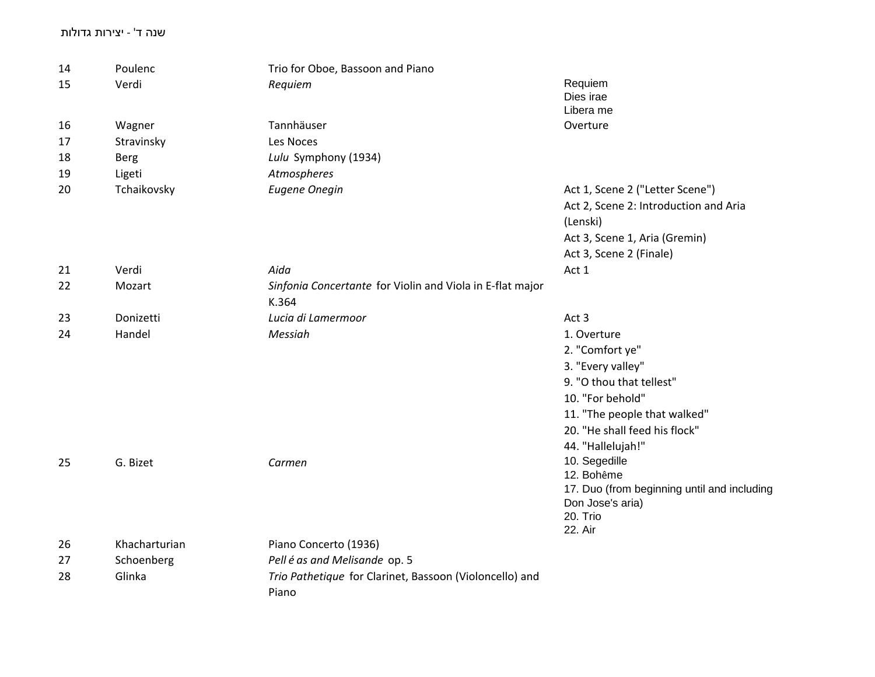#### שנה ד' - יצירות גדולות

| 14 | Poulenc       | Trio for Oboe, Bassoon and Piano                          |                                             |
|----|---------------|-----------------------------------------------------------|---------------------------------------------|
| 15 | Verdi         | Requiem                                                   | Requiem                                     |
|    |               |                                                           | Dies irae                                   |
|    |               |                                                           | Libera me                                   |
| 16 | Wagner        | Tannhäuser                                                | Overture                                    |
| 17 | Stravinsky    | Les Noces                                                 |                                             |
| 18 | <b>Berg</b>   | Lulu Symphony (1934)                                      |                                             |
| 19 | Ligeti        | Atmospheres                                               |                                             |
| 20 | Tchaikovsky   | <b>Eugene Onegin</b>                                      | Act 1, Scene 2 ("Letter Scene")             |
|    |               |                                                           | Act 2, Scene 2: Introduction and Aria       |
|    |               |                                                           | (Lenski)                                    |
|    |               |                                                           | Act 3, Scene 1, Aria (Gremin)               |
|    |               |                                                           | Act 3, Scene 2 (Finale)                     |
| 21 | Verdi         | Aida                                                      | Act 1                                       |
| 22 | Mozart        | Sinfonia Concertante for Violin and Viola in E-flat major |                                             |
|    |               | K.364                                                     |                                             |
| 23 | Donizetti     | Lucia di Lamermoor                                        | Act 3                                       |
| 24 | Handel        | Messiah                                                   | 1. Overture                                 |
|    |               |                                                           | 2. "Comfort ye"                             |
|    |               |                                                           | 3. "Every valley"                           |
|    |               |                                                           | 9. "O thou that tellest"                    |
|    |               |                                                           | 10. "For behold"                            |
|    |               |                                                           | 11. "The people that walked"                |
|    |               |                                                           | 20. "He shall feed his flock"               |
|    |               |                                                           | 44. "Hallelujah!"                           |
|    | G. Bizet      | Carmen                                                    | 10. Segedille                               |
| 25 |               |                                                           | 12. Bohême                                  |
|    |               |                                                           | 17. Duo (from beginning until and including |
|    |               |                                                           | Don Jose's aria)                            |
|    |               |                                                           | 20. Trio                                    |
|    |               |                                                           | 22. Air                                     |
| 26 | Khacharturian | Piano Concerto (1936)                                     |                                             |
| 27 | Schoenberg    | Pell é as and Melisande op. 5                             |                                             |
| 28 | Glinka        | Trio Pathetique for Clarinet, Bassoon (Violoncello) and   |                                             |
|    |               | Piano                                                     |                                             |